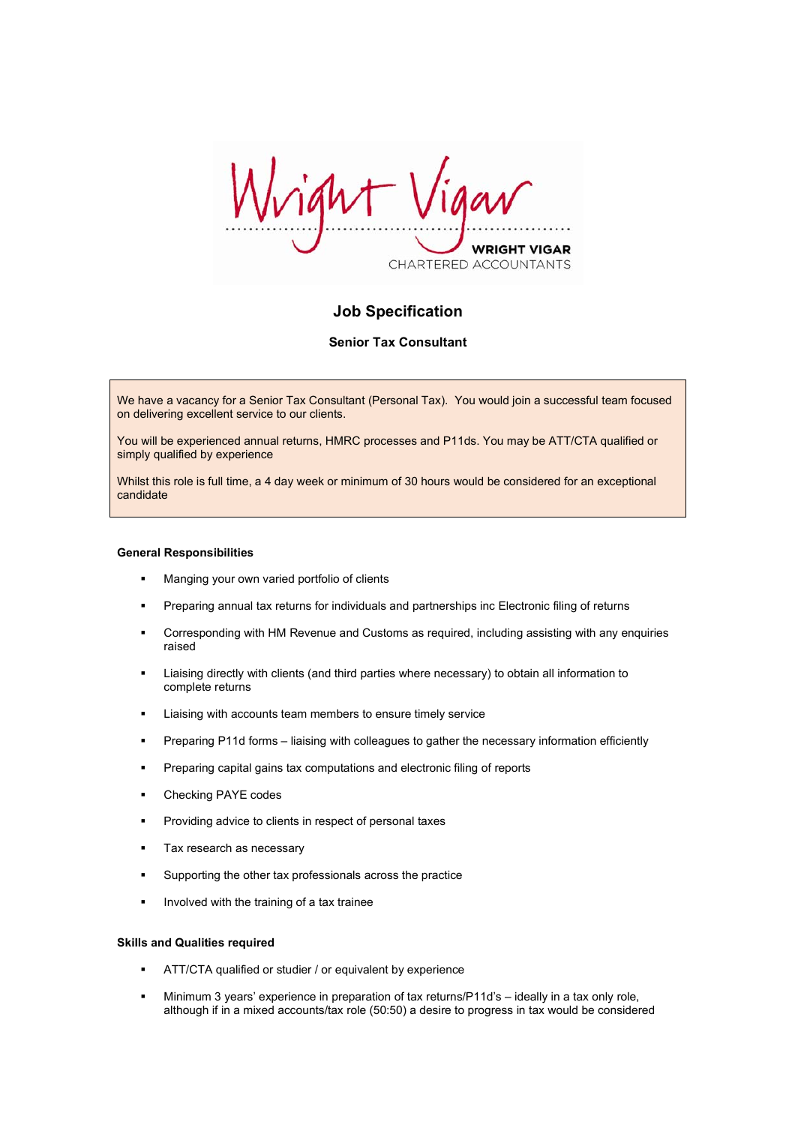ight *VRIGHT VIGAR* CHARTERED ACCOUNTANTS

# **Job Specification**

# **Senior Tax Consultant**

We have a vacancy for a Senior Tax Consultant (Personal Tax). You would join a successful team focused on delivering excellent service to our clients.

You will be experienced annual returns, HMRC processes and P11ds. You may be ATT/CTA qualified or simply qualified by experience

Whilst this role is full time, a 4 day week or minimum of 30 hours would be considered for an exceptional candidate

#### **General Responsibilities**

- **Manging your own varied portfolio of clients**
- Preparing annual tax returns for individuals and partnerships inc Electronic filing of returns
- Corresponding with HM Revenue and Customs as required, including assisting with any enquiries raised
- Liaising directly with clients (and third parties where necessary) to obtain all information to complete returns
- **EXECO EXECOM** Liaising with accounts team members to ensure timely service
- Preparing P11d forms liaising with colleagues to gather the necessary information efficiently
- **Preparing capital gains tax computations and electronic filing of reports**
- Checking PAYE codes
- Providing advice to clients in respect of personal taxes
- **Tax research as necessary**
- Supporting the other tax professionals across the practice
- Involved with the training of a tax trainee

#### **Skills and Qualities required**

- ATT/CTA qualified or studier / or equivalent by experience
- Minimum 3 years' experience in preparation of tax returns/P11d's ideally in a tax only role, although if in a mixed accounts/tax role (50:50) a desire to progress in tax would be considered